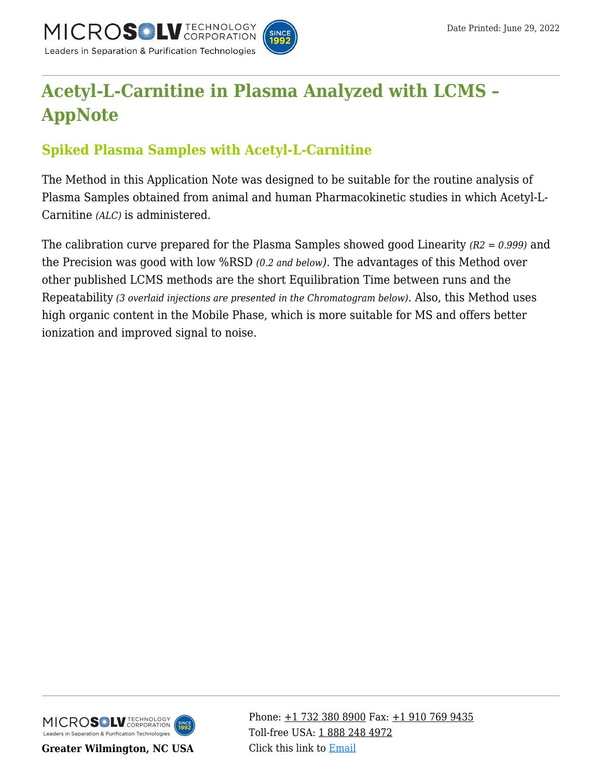

# **[Acetyl-L-Carnitine in Plasma Analyzed with LCMS –](https://kb.mtc-usa.com/article/aa-01348/46/) [AppNote](https://kb.mtc-usa.com/article/aa-01348/46/)**

## **Spiked Plasma Samples with Acetyl-L-Carnitine**

The Method in this Application Note was designed to be suitable for the routine analysis of Plasma Samples obtained from animal and human Pharmacokinetic studies in which Acetyl-L-Carnitine *(ALC)* is administered.

The calibration curve prepared for the Plasma Samples showed good Linearity *(R2 = 0.999)* and the Precision was good with low %RSD *(0.2 and below)*. The advantages of this Method over other published LCMS methods are the short Equilibration Time between runs and the Repeatability *(3 overlaid injections are presented in the Chromatogram below)*. Also, this Method uses high organic content in the Mobile Phase, which is more suitable for MS and offers better ionization and improved signal to noise.



**Greater Wilmington, NC USA**

Phone:  $\pm$ 1 732 380 8900 Fax:  $\pm$ 1 910 769 9435 Toll-free USA: [1 888 248 4972](#page--1-0) Click this link to [Email](https://www.mtc-usa.com/contact)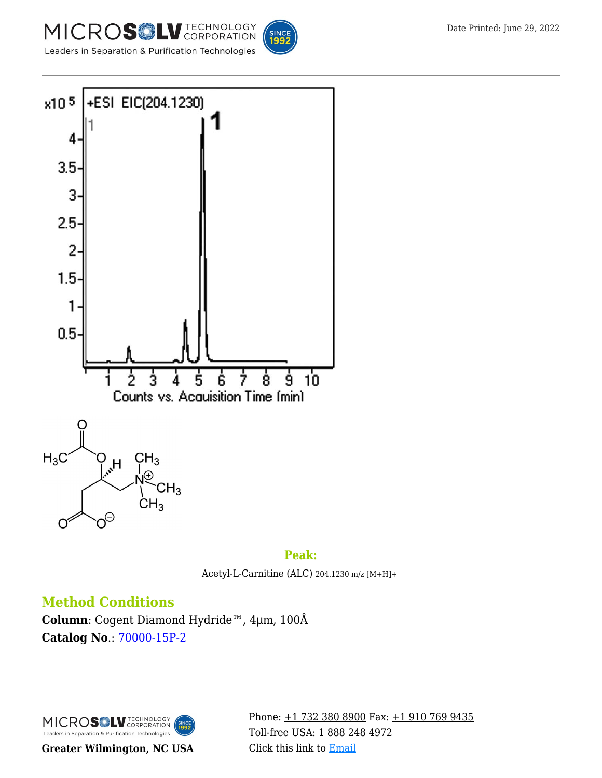







SINC<br>199

Acetyl-L-Carnitine (ALC) 204.1230 m/z [M+H]+

### **Method Conditions**

**Column**: Cogent Diamond Hydride™, 4μm, 100Å **Catalog No**.: [70000-15P-2](https://www.mtc-usa.com/product-details/id/4115801)

MICROSOLV TECHNOLOGY Leaders in Separation & Purification Technologies

**Greater Wilmington, NC USA**

Phone: [+1 732 380 8900](#page--1-0) Fax: [+1 910 769 9435](#page--1-0) Toll-free USA: [1 888 248 4972](#page--1-0) Click this link to [Email](https://www.mtc-usa.com/contact)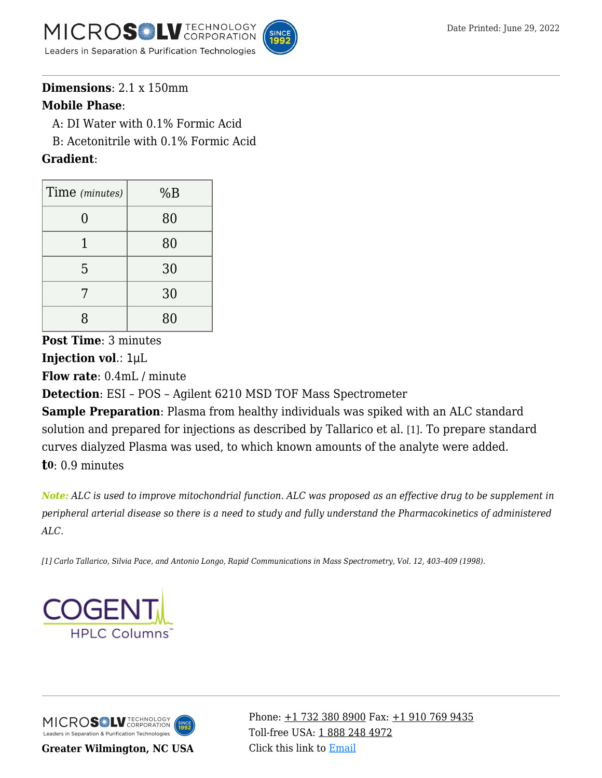



A: DI Water with 0.1% Formic Acid

—B: Acetonitrile with 0.1% Formic Acid

#### **Gradient**:

| Time (minutes) | %B |
|----------------|----|
| ( )            | 80 |
|                | 80 |
| 5              | 30 |
|                | 30 |
| 8              | 80 |

**Post Time**: 3 minutes **Injection vol**.: 1μL

**Flow rate**: 0.4mL / minute

**Detection**: ESI – POS – Agilent 6210 MSD TOF Mass Spectrometer

**Sample Preparation**: Plasma from healthy individuals was spiked with an ALC standard solution and prepared for injections as described by Tallarico et al. [1]. To prepare standard curves dialyzed Plasma was used, to which known amounts of the analyte were added. **t0**: 0.9 minutes

*Note: ALC is used to improve mitochondrial function. ALC was proposed as an effective drug to be supplement in peripheral arterial disease so there is a need to study and fully understand the Pharmacokinetics of administered ALC.*

*[1] Carlo Tallarico, Silvia Pace, and Antonio Longo, Rapid Communications in Mass Spectrometry, Vol. 12, 403–409 (1998).*



MICROS LU TECHNOLOGY Leaders in Separation & Purification Technologies

**Greater Wilmington, NC USA**

Phone:  $\pm$ 1 732 380 8900 Fax:  $\pm$ 1 910 769 9435 Toll-free USA: [1 888 248 4972](#page--1-0) Click this link to [Email](https://www.mtc-usa.com/contact)